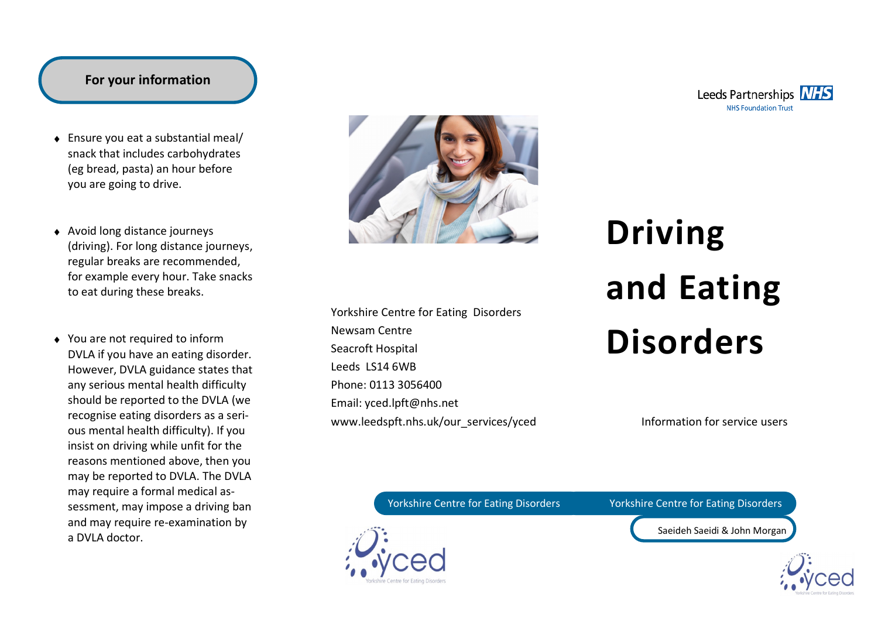## **For your information**

- Ensure you eat a substantial meal/ snack that includes carbohydrates (eg bread, pasta) an hour before you are going to drive.
- Avoid long distance journeys (driving). For long distance journeys, regular breaks are recommended, for example every hour. Take snacks to eat during these breaks.
- ◆ You are not required to inform DVLA if you have an eating disorder. However, DVLA guidance states that any serious mental health difficulty should be reported to the DVLA (we recognise eating disorders as a serious mental health difficulty). If you insist on driving while unfit for the reasons mentioned above, then you may be reported to DVLA. The DVLA may require a formal medical assessment, may impose a driving ban and may require re-examination by a DVLA doctor.



Yorkshire Centre for Eating Disorders Newsam Centre Seacroft Hospital Leeds LS14 6WB Phone: 0113 3056400 Email: yced.lpft@nhs.net www.leedspft.nhs.uk/our\_services/yced

# **Driving and Eating Disorders**

Information for service users

Yorkshire Centre for Eating Disorders Yorkshire Centre for Eating Disorders

Saeideh Saeidi & John Morgan